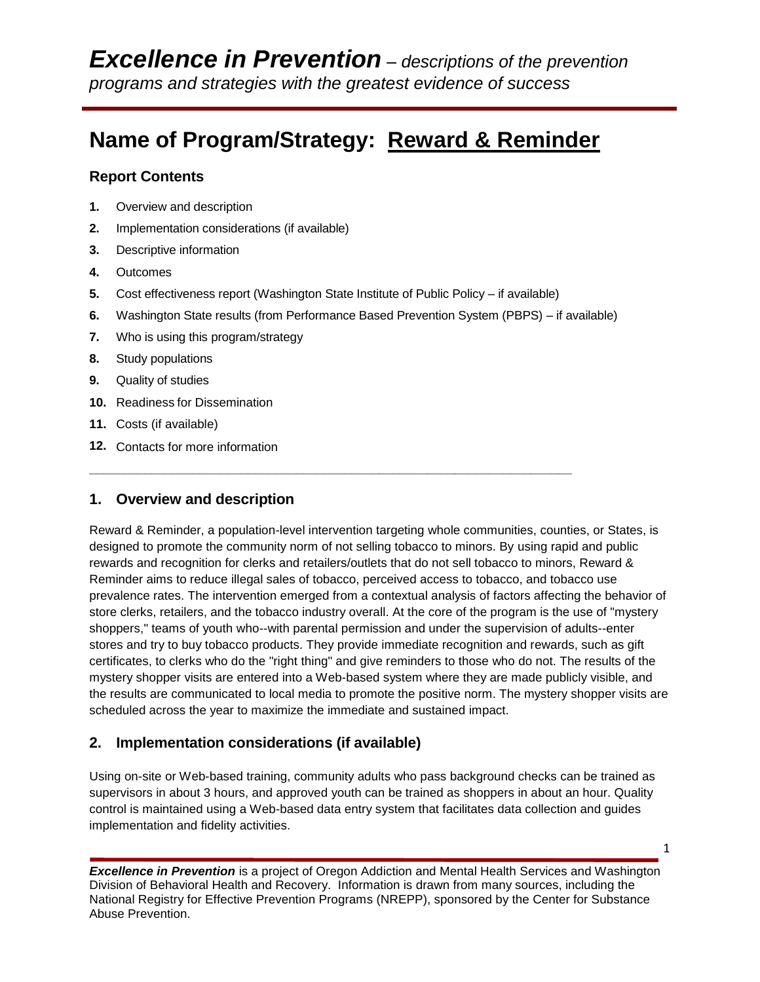# **Name of Program/Strategy: Reward & Reminder**

## **Report Contents**

- **1.** Overview and description
- **2.** Implementation considerations (if available)
- **3.** Descriptive information
- **4.** Outcomes
- **5.** Cost effectiveness report (Washington State Institute of Public Policy if available)

**\_\_\_\_\_\_\_\_\_\_\_\_\_\_\_\_\_\_\_\_\_\_\_\_\_\_\_\_\_\_\_\_\_\_\_\_\_\_\_\_\_\_\_\_\_\_\_\_\_\_\_\_\_\_\_\_\_\_\_\_\_\_\_\_\_\_\_\_\_\_**

- **6.** Washington State results (from Performance Based Prevention System (PBPS) if available)
- **7.** Who is using this program/strategy
- **8.** Study populations
- **9.** Quality of studies
- **10.** Readiness for Dissemination
- **11.** Costs (if available)
- **12.** Contacts for more information

# **1. Overview and description**

Reward & Reminder, a population-level intervention targeting whole communities, counties, or States, is designed to promote the community norm of not selling tobacco to minors. By using rapid and public rewards and recognition for clerks and retailers/outlets that do not sell tobacco to minors, Reward & Reminder aims to reduce illegal sales of tobacco, perceived access to tobacco, and tobacco use prevalence rates. The intervention emerged from a contextual analysis of factors affecting the behavior of store clerks, retailers, and the tobacco industry overall. At the core of the program is the use of "mystery shoppers," teams of youth who--with parental permission and under the supervision of adults--enter stores and try to buy tobacco products. They provide immediate recognition and rewards, such as gift certificates, to clerks who do the "right thing" and give reminders to those who do not. The results of the mystery shopper visits are entered into a Web-based system where they are made publicly visible, and the results are communicated to local media to promote the positive norm. The mystery shopper visits are scheduled across the year to maximize the immediate and sustained impact.

# **2. Implementation considerations (if available)**

Using on-site or Web-based training, community adults who pass background checks can be trained as supervisors in about 3 hours, and approved youth can be trained as shoppers in about an hour. Quality control is maintained using a Web-based data entry system that facilitates data collection and guides implementation and fidelity activities.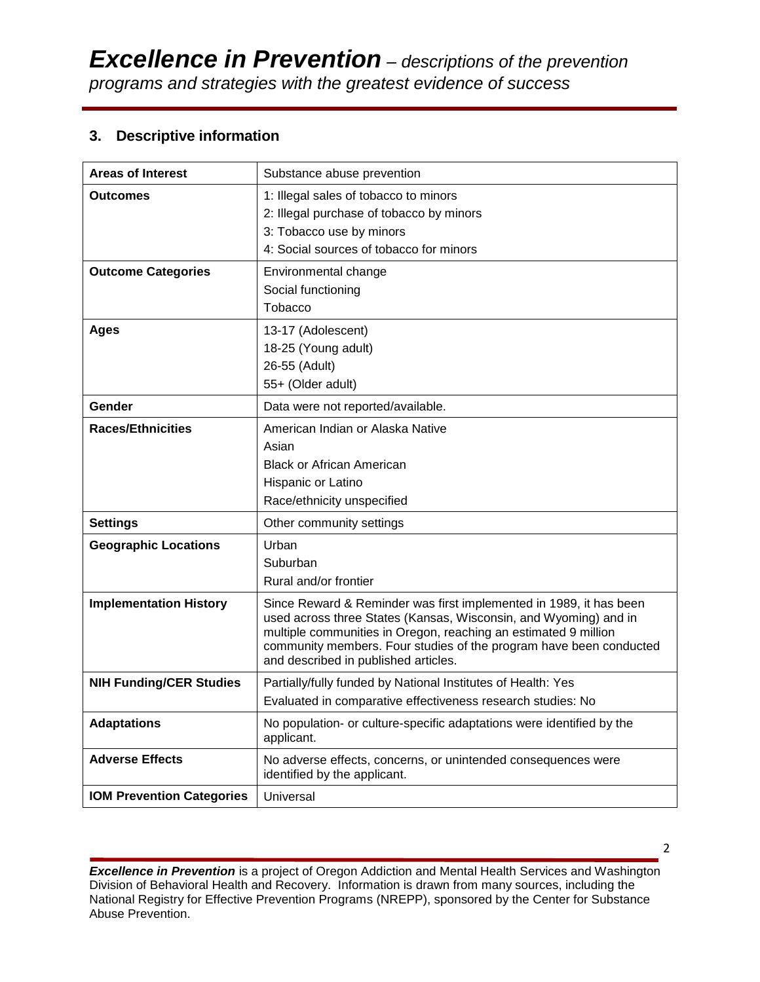# **3. Descriptive information**

| <b>Areas of Interest</b>         | Substance abuse prevention                                                                                                                                                                                                                                                                                              |
|----------------------------------|-------------------------------------------------------------------------------------------------------------------------------------------------------------------------------------------------------------------------------------------------------------------------------------------------------------------------|
|                                  |                                                                                                                                                                                                                                                                                                                         |
| Outcomes                         | 1: Illegal sales of tobacco to minors                                                                                                                                                                                                                                                                                   |
|                                  | 2: Illegal purchase of tobacco by minors                                                                                                                                                                                                                                                                                |
|                                  | 3: Tobacco use by minors                                                                                                                                                                                                                                                                                                |
|                                  | 4: Social sources of tobacco for minors                                                                                                                                                                                                                                                                                 |
| <b>Outcome Categories</b>        | Environmental change                                                                                                                                                                                                                                                                                                    |
|                                  | Social functioning                                                                                                                                                                                                                                                                                                      |
|                                  | Tobacco                                                                                                                                                                                                                                                                                                                 |
| <b>Ages</b>                      | 13-17 (Adolescent)                                                                                                                                                                                                                                                                                                      |
|                                  | 18-25 (Young adult)                                                                                                                                                                                                                                                                                                     |
|                                  | 26-55 (Adult)                                                                                                                                                                                                                                                                                                           |
|                                  | 55+ (Older adult)                                                                                                                                                                                                                                                                                                       |
| Gender                           | Data were not reported/available.                                                                                                                                                                                                                                                                                       |
| <b>Races/Ethnicities</b>         | American Indian or Alaska Native                                                                                                                                                                                                                                                                                        |
|                                  | Asian                                                                                                                                                                                                                                                                                                                   |
|                                  | <b>Black or African American</b>                                                                                                                                                                                                                                                                                        |
|                                  | Hispanic or Latino                                                                                                                                                                                                                                                                                                      |
|                                  | Race/ethnicity unspecified                                                                                                                                                                                                                                                                                              |
| <b>Settings</b>                  | Other community settings                                                                                                                                                                                                                                                                                                |
| <b>Geographic Locations</b>      | Urban                                                                                                                                                                                                                                                                                                                   |
|                                  | Suburban                                                                                                                                                                                                                                                                                                                |
|                                  | Rural and/or frontier                                                                                                                                                                                                                                                                                                   |
| <b>Implementation History</b>    | Since Reward & Reminder was first implemented in 1989, it has been<br>used across three States (Kansas, Wisconsin, and Wyoming) and in<br>multiple communities in Oregon, reaching an estimated 9 million<br>community members. Four studies of the program have been conducted<br>and described in published articles. |
| <b>NIH Funding/CER Studies</b>   | Partially/fully funded by National Institutes of Health: Yes                                                                                                                                                                                                                                                            |
|                                  | Evaluated in comparative effectiveness research studies: No                                                                                                                                                                                                                                                             |
| <b>Adaptations</b>               | No population- or culture-specific adaptations were identified by the<br>applicant.                                                                                                                                                                                                                                     |
| <b>Adverse Effects</b>           | No adverse effects, concerns, or unintended consequences were<br>identified by the applicant.                                                                                                                                                                                                                           |
| <b>IOM Prevention Categories</b> | Universal                                                                                                                                                                                                                                                                                                               |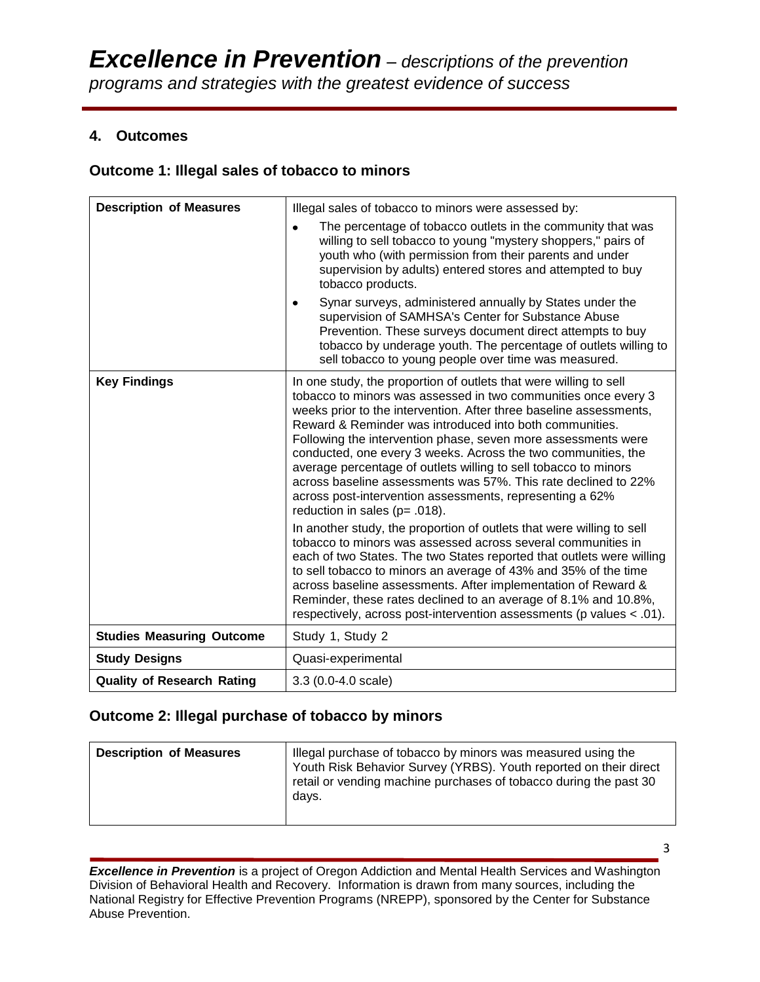## **4. Outcomes**

## **Outcome 1: Illegal sales of tobacco to minors**

| <b>Description of Measures</b>    | Illegal sales of tobacco to minors were assessed by:                                                                                                                                                                                                                                                                                                                                                                                                                                                                                                                                                                                          |
|-----------------------------------|-----------------------------------------------------------------------------------------------------------------------------------------------------------------------------------------------------------------------------------------------------------------------------------------------------------------------------------------------------------------------------------------------------------------------------------------------------------------------------------------------------------------------------------------------------------------------------------------------------------------------------------------------|
|                                   | The percentage of tobacco outlets in the community that was<br>willing to sell tobacco to young "mystery shoppers," pairs of<br>youth who (with permission from their parents and under<br>supervision by adults) entered stores and attempted to buy<br>tobacco products.                                                                                                                                                                                                                                                                                                                                                                    |
|                                   | Synar surveys, administered annually by States under the<br>supervision of SAMHSA's Center for Substance Abuse<br>Prevention. These surveys document direct attempts to buy<br>tobacco by underage youth. The percentage of outlets willing to<br>sell tobacco to young people over time was measured.                                                                                                                                                                                                                                                                                                                                        |
| <b>Key Findings</b>               | In one study, the proportion of outlets that were willing to sell<br>tobacco to minors was assessed in two communities once every 3<br>weeks prior to the intervention. After three baseline assessments,<br>Reward & Reminder was introduced into both communities.<br>Following the intervention phase, seven more assessments were<br>conducted, one every 3 weeks. Across the two communities, the<br>average percentage of outlets willing to sell tobacco to minors<br>across baseline assessments was 57%. This rate declined to 22%<br>across post-intervention assessments, representing a 62%<br>reduction in sales ( $p = .018$ ). |
|                                   | In another study, the proportion of outlets that were willing to sell<br>tobacco to minors was assessed across several communities in<br>each of two States. The two States reported that outlets were willing<br>to sell tobacco to minors an average of 43% and 35% of the time<br>across baseline assessments. After implementation of Reward &<br>Reminder, these rates declined to an average of 8.1% and 10.8%,<br>respectively, across post-intervention assessments (p values < .01).                                                                                                                                                 |
| <b>Studies Measuring Outcome</b>  | Study 1, Study 2                                                                                                                                                                                                                                                                                                                                                                                                                                                                                                                                                                                                                              |
| <b>Study Designs</b>              | Quasi-experimental                                                                                                                                                                                                                                                                                                                                                                                                                                                                                                                                                                                                                            |
| <b>Quality of Research Rating</b> | 3.3 (0.0-4.0 scale)                                                                                                                                                                                                                                                                                                                                                                                                                                                                                                                                                                                                                           |

## **Outcome 2: Illegal purchase of tobacco by minors**

| <b>Description of Measures</b> | Illegal purchase of tobacco by minors was measured using the<br>Youth Risk Behavior Survey (YRBS). Youth reported on their direct<br>retail or vending machine purchases of tobacco during the past 30<br>days. |
|--------------------------------|-----------------------------------------------------------------------------------------------------------------------------------------------------------------------------------------------------------------|
|--------------------------------|-----------------------------------------------------------------------------------------------------------------------------------------------------------------------------------------------------------------|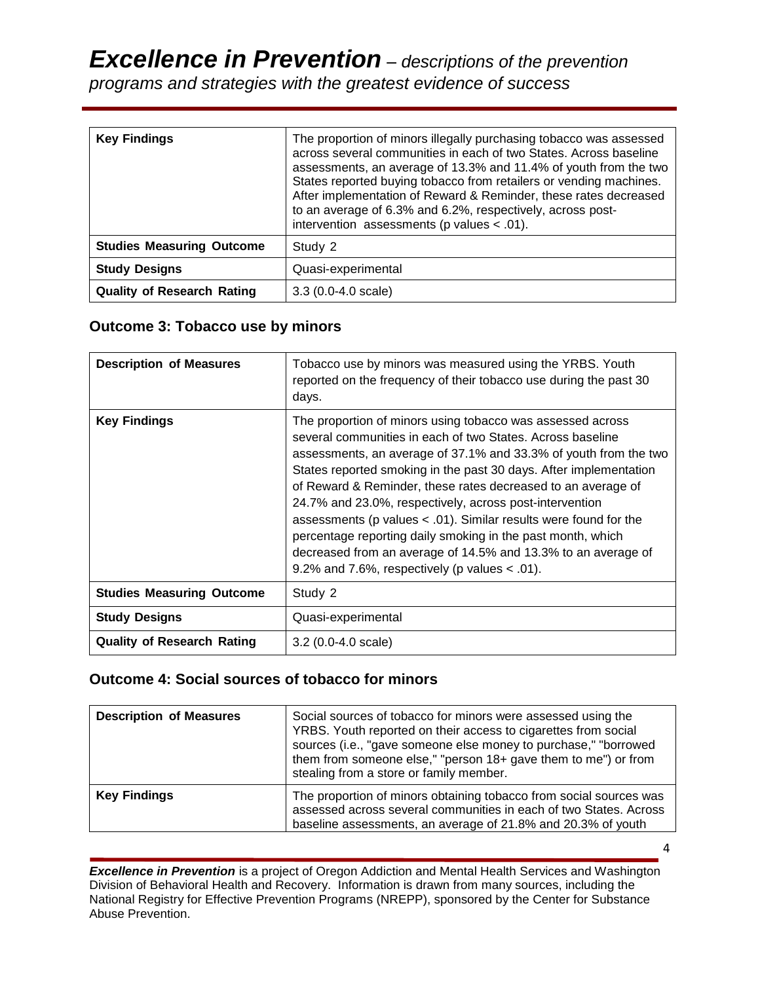*Excellence in Prevention – descriptions of the prevention* 

*programs and strategies with the greatest evidence of success*

| <b>Key Findings</b>               | The proportion of minors illegally purchasing tobacco was assessed<br>across several communities in each of two States. Across baseline<br>assessments, an average of 13.3% and 11.4% of youth from the two<br>States reported buying tobacco from retailers or vending machines.<br>After implementation of Reward & Reminder, these rates decreased<br>to an average of 6.3% and 6.2%, respectively, across post-<br>intervention assessments (p values $< .01$ ). |
|-----------------------------------|----------------------------------------------------------------------------------------------------------------------------------------------------------------------------------------------------------------------------------------------------------------------------------------------------------------------------------------------------------------------------------------------------------------------------------------------------------------------|
| <b>Studies Measuring Outcome</b>  | Study 2                                                                                                                                                                                                                                                                                                                                                                                                                                                              |
| <b>Study Designs</b>              | Quasi-experimental                                                                                                                                                                                                                                                                                                                                                                                                                                                   |
| <b>Quality of Research Rating</b> | $3.3(0.0-4.0 \text{ scale})$                                                                                                                                                                                                                                                                                                                                                                                                                                         |

# **Outcome 3: Tobacco use by minors**

| <b>Description of Measures</b>    | Tobacco use by minors was measured using the YRBS. Youth<br>reported on the frequency of their tobacco use during the past 30<br>days.                                                                                                                                                                                                                                                                                                                                                                                                                                                                                                                 |
|-----------------------------------|--------------------------------------------------------------------------------------------------------------------------------------------------------------------------------------------------------------------------------------------------------------------------------------------------------------------------------------------------------------------------------------------------------------------------------------------------------------------------------------------------------------------------------------------------------------------------------------------------------------------------------------------------------|
| <b>Key Findings</b>               | The proportion of minors using tobacco was assessed across<br>several communities in each of two States. Across baseline<br>assessments, an average of 37.1% and 33.3% of youth from the two<br>States reported smoking in the past 30 days. After implementation<br>of Reward & Reminder, these rates decreased to an average of<br>24.7% and 23.0%, respectively, across post-intervention<br>assessments (p values $< .01$ ). Similar results were found for the<br>percentage reporting daily smoking in the past month, which<br>decreased from an average of 14.5% and 13.3% to an average of<br>9.2% and 7.6%, respectively (p values $<$ .01). |
| <b>Studies Measuring Outcome</b>  | Study 2                                                                                                                                                                                                                                                                                                                                                                                                                                                                                                                                                                                                                                                |
| <b>Study Designs</b>              | Quasi-experimental                                                                                                                                                                                                                                                                                                                                                                                                                                                                                                                                                                                                                                     |
| <b>Quality of Research Rating</b> | $3.2(0.0-4.0 \text{ scale})$                                                                                                                                                                                                                                                                                                                                                                                                                                                                                                                                                                                                                           |

## **Outcome 4: Social sources of tobacco for minors**

| <b>Description of Measures</b> | Social sources of tobacco for minors were assessed using the<br>YRBS. Youth reported on their access to cigarettes from social<br>sources (i.e., "gave someone else money to purchase," "borrowed<br>them from someone else," "person 18+ gave them to me") or from<br>stealing from a store or family member. |
|--------------------------------|----------------------------------------------------------------------------------------------------------------------------------------------------------------------------------------------------------------------------------------------------------------------------------------------------------------|
| <b>Key Findings</b>            | The proportion of minors obtaining tobacco from social sources was<br>assessed across several communities in each of two States. Across<br>baseline assessments, an average of 21.8% and 20.3% of youth                                                                                                        |

*Excellence in Prevention* is a project of Oregon Addiction and Mental Health Services and Washington Division of Behavioral Health and Recovery. Information is drawn from many sources, including the National Registry for Effective Prevention Programs (NREPP), sponsored by the Center for Substance Abuse Prevention.

4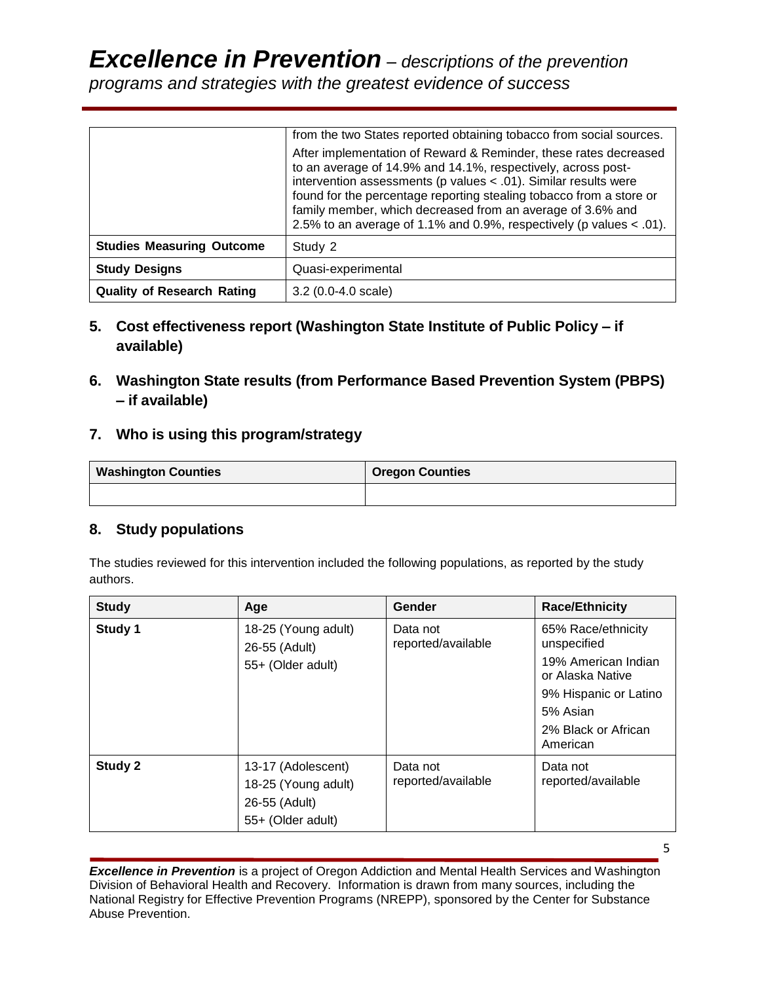|                                   | from the two States reported obtaining tobacco from social sources.                                                                                                                                                                                                                                                                                                                                                |
|-----------------------------------|--------------------------------------------------------------------------------------------------------------------------------------------------------------------------------------------------------------------------------------------------------------------------------------------------------------------------------------------------------------------------------------------------------------------|
|                                   | After implementation of Reward & Reminder, these rates decreased<br>to an average of 14.9% and 14.1%, respectively, across post-<br>intervention assessments ( $p$ values < .01). Similar results were<br>found for the percentage reporting stealing tobacco from a store or<br>family member, which decreased from an average of 3.6% and<br>2.5% to an average of 1.1% and 0.9%, respectively (p values < .01). |
| <b>Studies Measuring Outcome</b>  | Study 2                                                                                                                                                                                                                                                                                                                                                                                                            |
| <b>Study Designs</b>              | Quasi-experimental                                                                                                                                                                                                                                                                                                                                                                                                 |
| <b>Quality of Research Rating</b> | $3.2(0.0-4.0 scale)$                                                                                                                                                                                                                                                                                                                                                                                               |

- **5. Cost effectiveness report (Washington State Institute of Public Policy – if available)**
- **6. Washington State results (from Performance Based Prevention System (PBPS) – if available)**
- **7. Who is using this program/strategy**

| <b>Washington Counties</b> | <b>Oregon Counties</b> |
|----------------------------|------------------------|
|                            |                        |

# **8. Study populations**

The studies reviewed for this intervention included the following populations, as reported by the study authors.

| <b>Study</b> | Age                                                                             | Gender                         | <b>Race/Ethnicity</b>                                                                                                                                |
|--------------|---------------------------------------------------------------------------------|--------------------------------|------------------------------------------------------------------------------------------------------------------------------------------------------|
| Study 1      | 18-25 (Young adult)<br>26-55 (Adult)<br>55+ (Older adult)                       | Data not<br>reported/available | 65% Race/ethnicity<br>unspecified<br>19% American Indian<br>or Alaska Native<br>9% Hispanic or Latino<br>5% Asian<br>2% Black or African<br>American |
| Study 2      | 13-17 (Adolescent)<br>18-25 (Young adult)<br>26-55 (Adult)<br>55+ (Older adult) | Data not<br>reported/available | Data not<br>reported/available                                                                                                                       |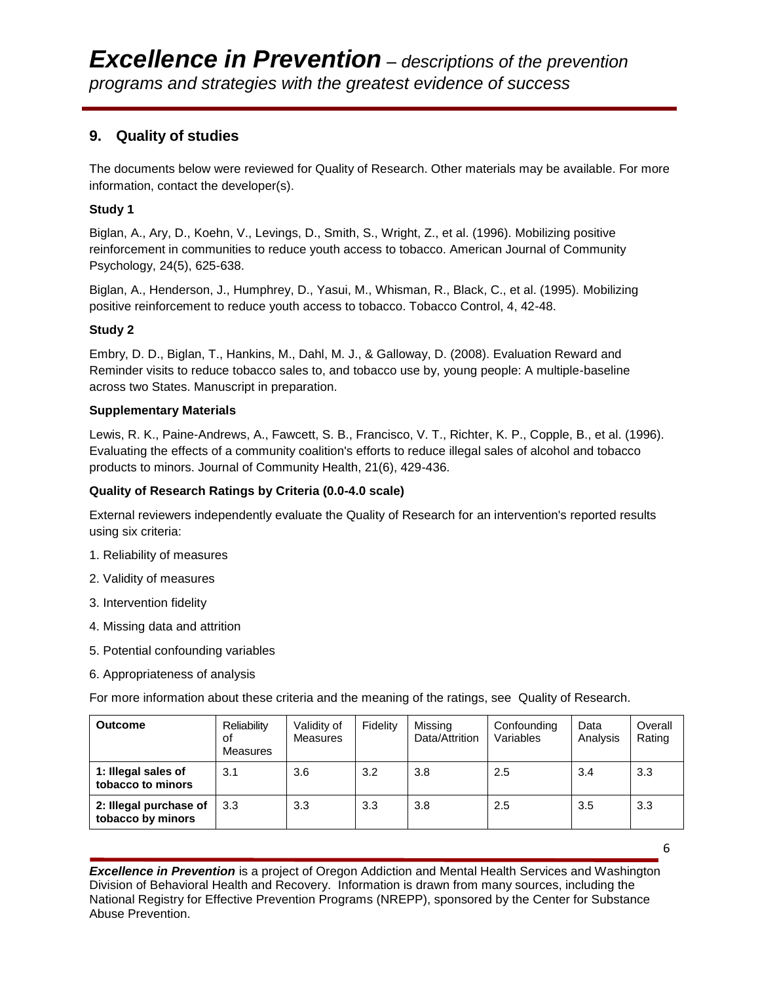# **9. Quality of studies**

The documents below were reviewed for Quality of Research. Other materials may be available. For more information, contact the developer(s).

## **Study 1**

Biglan, A., Ary, D., Koehn, V., Levings, D., Smith, S., Wright, Z., et al. (1996). Mobilizing positive reinforcement in communities to reduce youth access to tobacco. American Journal of Community Psychology, 24(5), 625-638.

Biglan, A., Henderson, J., Humphrey, D., Yasui, M., Whisman, R., Black, C., et al. (1995). Mobilizing positive reinforcement to reduce youth access to tobacco. Tobacco Control, 4, 42-48.

#### **Study 2**

Embry, D. D., Biglan, T., Hankins, M., Dahl, M. J., & Galloway, D. (2008). Evaluation Reward and Reminder visits to reduce tobacco sales to, and tobacco use by, young people: A multiple-baseline across two States. Manuscript in preparation.

#### **Supplementary Materials**

Lewis, R. K., Paine-Andrews, A., Fawcett, S. B., Francisco, V. T., Richter, K. P., Copple, B., et al. (1996). Evaluating the effects of a community coalition's efforts to reduce illegal sales of alcohol and tobacco products to minors. Journal of Community Health, 21(6), 429[-436.](http://www.ncbi.nlm.nih.gov/pubmed/8912119?ordinalpos=119&itool=EntrezSystem2.PEntrez.Pubmed.Pubmed_ResultsPanel.Pubmed_DefaultReportPanel.Pubmed_RVDocSum)

#### **Quality of Research Ratings by Criteria (0.0-4.0 scale)**

External reviewers independently evaluate the Quality of Research for an intervention's reported results using six criteria:

- 1. Reliability of measures
- 2. Validity of measures
- 3. Intervention fidelity
- 4. Missing data and attrition
- 5. Potential confounding variables
- 6. Appropriateness of analysis

For more information about these criteria and the meaning of the ratings, see Quality of Research.

| <b>Outcome</b>                              | Reliability<br>οf<br>Measures | Validity of<br>Measures | Fidelity | Missing<br>Data/Attrition | Confounding<br>Variables | Data<br>Analysis | Overall<br>Rating |
|---------------------------------------------|-------------------------------|-------------------------|----------|---------------------------|--------------------------|------------------|-------------------|
| 1: Illegal sales of<br>tobacco to minors    | 3.1                           | 3.6                     | 3.2      | 3.8                       | 2.5                      | 3.4              | 3.3               |
| 2: Illegal purchase of<br>tobacco by minors | 3.3                           | 3.3                     | 3.3      | 3.8                       | 2.5                      | 3.5              | 3.3               |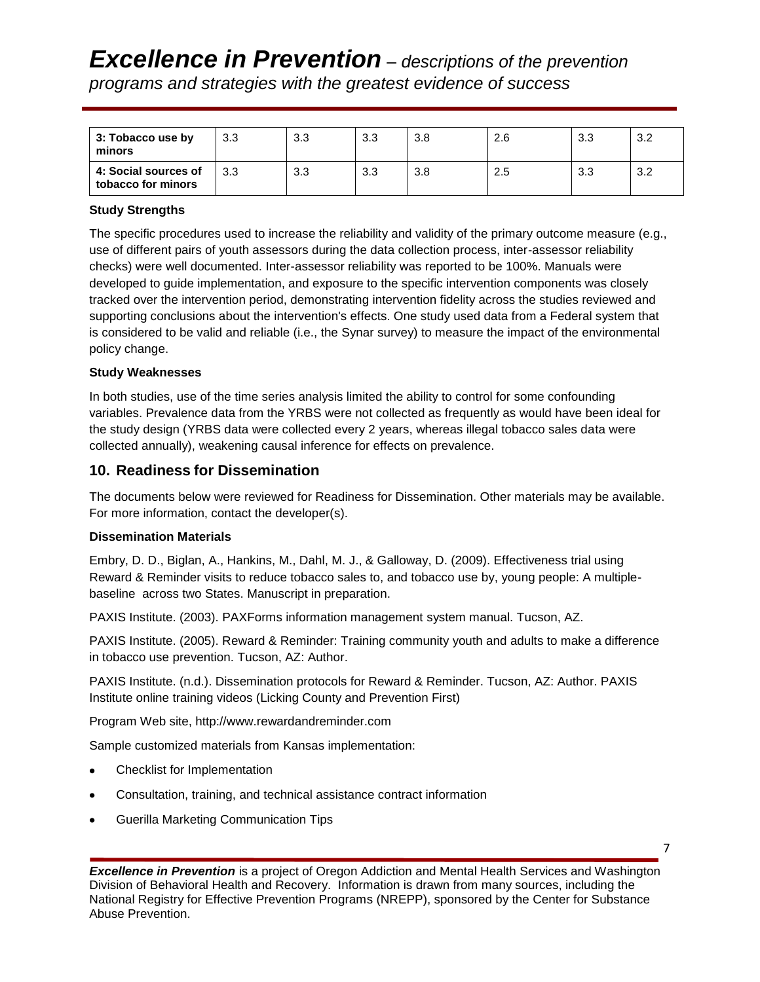| $\vert$ 3: Tobacco use by<br>minors        | 3.3 | 3.3 | 3.3 | 3.8 | 2.6 | 3.3 | 3.2 |
|--------------------------------------------|-----|-----|-----|-----|-----|-----|-----|
| 4: Social sources of<br>tobacco for minors | 3.3 | 3.3 | 3.3 | 3.8 | 2.5 | 3.3 | 3.2 |

#### **Study Strengths**

The specific procedures used to increase the reliability and validity of the primary outcome measure (e.g., use of different pairs of youth assessors during the data collection process, inter-assessor reliability checks) were well documented. Inter-assessor reliability was reported to be 100%. Manuals were developed to guide implementation, and exposure to the specific intervention components was closely tracked over the intervention period, demonstrating intervention fidelity across the studies reviewed and supporting conclusions about the intervention's effects. One study used data from a Federal system that is considered to be valid and reliable (i.e., the Synar survey) to measure the impact of the environmental policy change.

#### **Study Weaknesses**

In both studies, use of the time series analysis limited the ability to control for some confounding variables. Prevalence data from the YRBS were not collected as frequently as would have been ideal for the study design (YRBS data were collected every 2 years, whereas illegal tobacco sales data were collected annually), weakening causal inference for effects on prevalence.

## **10. Readiness for Dissemination**

The documents below were reviewed for Readiness for Dissemination. Other materials may be available. For more information, contact the developer(s).

#### **Dissemination Materials**

Embry, D. D., Biglan, A., Hankins, M., Dahl, M. J., & Galloway, D. (2009). Effectiveness trial using Reward & Reminder visits to reduce tobacco sales to, and tobacco use by, young people: A multiplebaseline across two States. Manuscript in preparation.

PAXIS Institute. (2003). PAXForms information management system manual. Tucson, AZ.

PAXIS Institute. (2005). Reward & Reminder: Training community youth and adults to make a difference in tobacco use prevention. Tucson, AZ: Author.

PAXIS Institute. (n.d.). Dissemination protocols for Reward & Reminder. Tucson, AZ: Author. PAXIS Institute online training videos (Licking County and Prevention First)

Program Web site, http://www.rewardandreminder.com

Sample customized materials from Kansas implementation:

- Checklist for Implementation
- Consultation, training, and technical assistance contract information
- Guerilla Marketing Communication Tips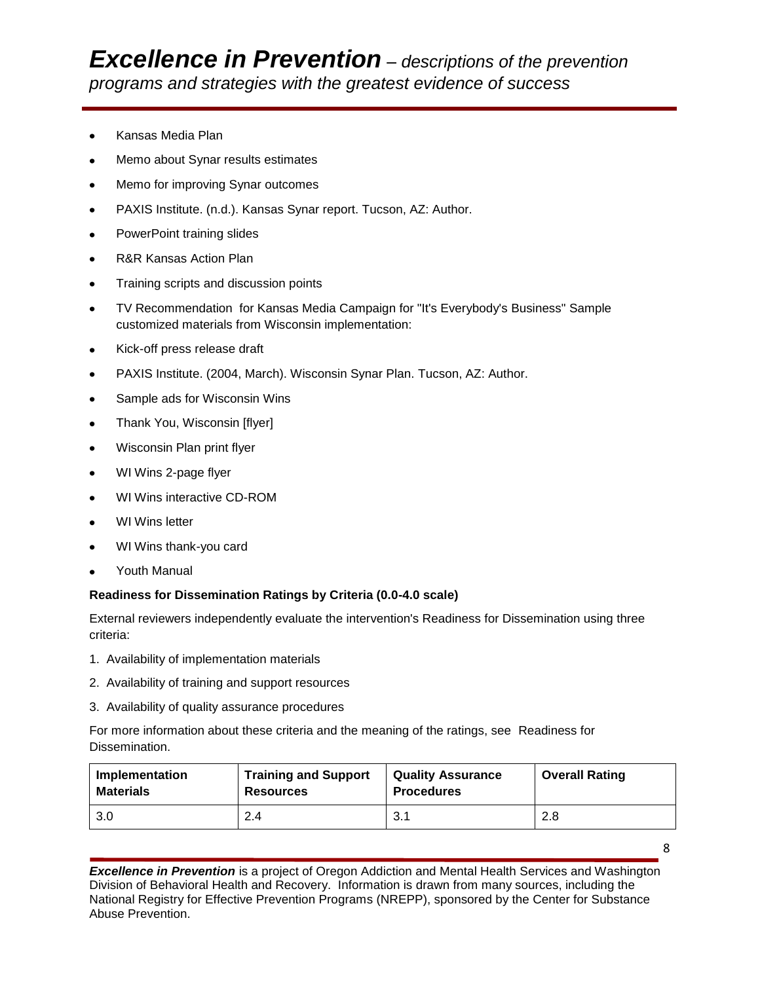- Kansas Media Plan
- Memo about Synar results estimates
- Memo for improving Synar outcomes  $\bullet$
- PAXIS Institute. (n.d.). Kansas Synar report. Tucson, AZ: Author.
- PowerPoint training slides  $\bullet$
- R&R Kansas Action Plan
- Training scripts and discussion points  $\bullet$
- TV Recommendation for Kansas Media Campaign for "It's Everybody's Business" Sample  $\bullet$ customized materials from Wisconsin implementation:
- Kick-off press release draft  $\bullet$
- PAXIS Institute. (2004, March). Wisconsin Synar Plan. Tucson, AZ: Author.  $\bullet$
- Sample ads for Wisconsin Wins
- Thank You, Wisconsin [flyer]
- Wisconsin Plan print flyer
- WI Wins 2-page flyer  $\bullet$
- WI Wins interactive CD-ROM
- WI Wins letter  $\bullet$
- WI Wins thank-you card
- Youth Manual  $\bullet$

#### **Readiness for Dissemination Ratings by Criteria (0.0-4.0 scale)**

External reviewers independently evaluate the intervention's Readiness for Dissemination using three criteria:

- 1. Availability of implementation materials
- 2. Availability of training and support resources
- 3. Availability of quality assurance procedures

For more information about these criteria and the meaning of the ratings, see Readiness for Dissemination.

| Implementation   | <b>Training and Support</b> | <b>Quality Assurance</b> | <b>Overall Rating</b> |
|------------------|-----------------------------|--------------------------|-----------------------|
| <b>Materials</b> | <b>Resources</b>            | <b>Procedures</b>        |                       |
| 3.0              | 2.4                         | 3.1                      | 2.8                   |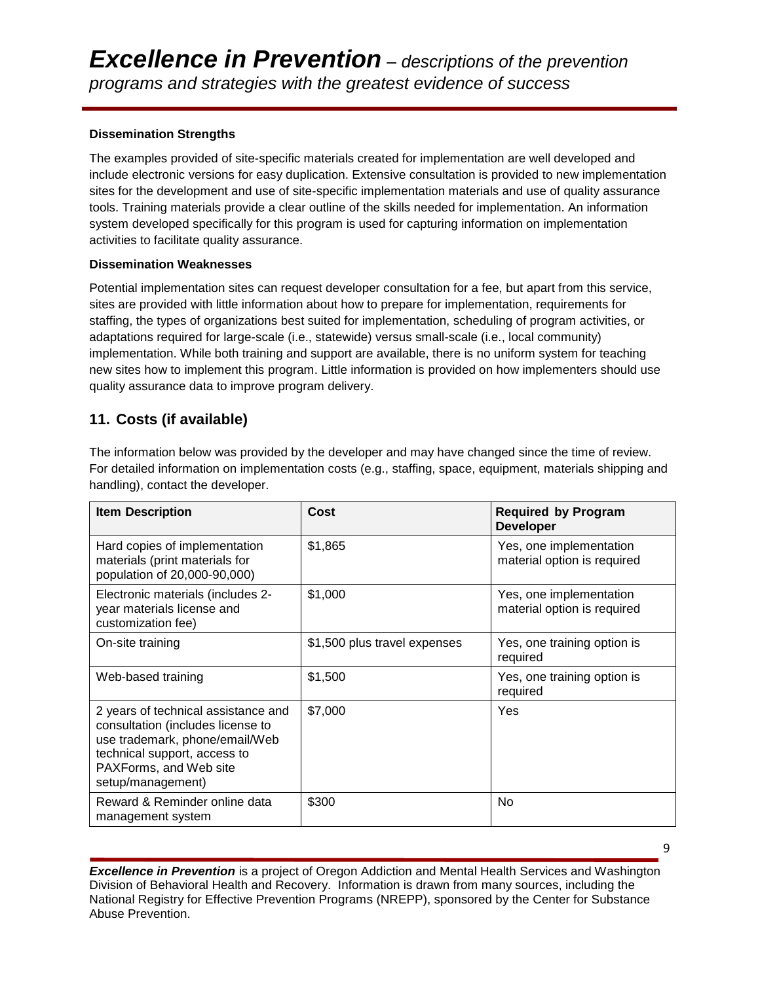#### **Dissemination Strengths**

The examples provided of site-specific materials created for implementation are well developed and include electronic versions for easy duplication. Extensive consultation is provided to new implementation sites for the development and use of site-specific implementation materials and use of quality assurance tools. Training materials provide a clear outline of the skills needed for implementation. An information system developed specifically for this program is used for capturing information on implementation activities to facilitate quality assurance.

#### **Dissemination Weaknesses**

Potential implementation sites can request developer consultation for a fee, but apart from this service, sites are provided with little information about how to prepare for implementation, requirements for staffing, the types of organizations best suited for implementation, scheduling of program activities, or adaptations required for large-scale (i.e., statewide) versus small-scale (i.e., local community) implementation. While both training and support are available, there is no uniform system for teaching new sites how to implement this program. Little information is provided on how implementers should use quality assurance data to improve program delivery.

# **11. Costs (if available)**

The information below was provided by the developer and may have changed since the time of review. For detailed information on implementation costs (e.g., staffing, space, equipment, materials shipping and handling), contact the developer.

| <b>Item Description</b>                                                                                                                                                                   | Cost                         | <b>Required by Program</b><br><b>Developer</b>         |
|-------------------------------------------------------------------------------------------------------------------------------------------------------------------------------------------|------------------------------|--------------------------------------------------------|
| Hard copies of implementation<br>materials (print materials for<br>population of 20,000-90,000)                                                                                           | \$1,865                      | Yes, one implementation<br>material option is required |
| Electronic materials (includes 2-<br>year materials license and<br>customization fee)                                                                                                     | \$1,000                      | Yes, one implementation<br>material option is required |
| On-site training                                                                                                                                                                          | \$1,500 plus travel expenses | Yes, one training option is<br>required                |
| Web-based training                                                                                                                                                                        | \$1,500                      | Yes, one training option is<br>required                |
| 2 years of technical assistance and<br>consultation (includes license to<br>use trademark, phone/email/Web<br>technical support, access to<br>PAXForms, and Web site<br>setup/management) | \$7,000                      | Yes                                                    |
| Reward & Reminder online data<br>management system                                                                                                                                        | \$300                        | No                                                     |